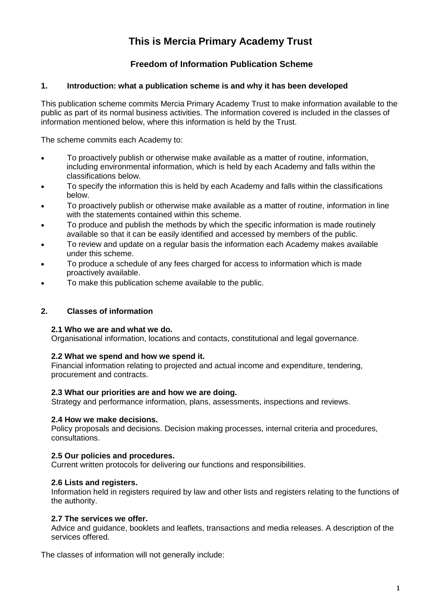# **This is Mercia Primary Academy Trust**

# **Freedom of Information Publication Scheme**

## **1. Introduction: what a publication scheme is and why it has been developed**

This publication scheme commits Mercia Primary Academy Trust to make information available to the public as part of its normal business activities. The information covered is included in the classes of information mentioned below, where this information is held by the Trust.

The scheme commits each Academy to:

- To proactively publish or otherwise make available as a matter of routine, information, including environmental information, which is held by each Academy and falls within the classifications below.
- To specify the information this is held by each Academy and falls within the classifications below.
- To proactively publish or otherwise make available as a matter of routine, information in line with the statements contained within this scheme.
- To produce and publish the methods by which the specific information is made routinely available so that it can be easily identified and accessed by members of the public.
- To review and update on a regular basis the information each Academy makes available under this scheme.
- To produce a schedule of any fees charged for access to information which is made proactively available.
- To make this publication scheme available to the public.

#### **2. Classes of information**

#### **2.1 Who we are and what we do.**

Organisational information, locations and contacts, constitutional and legal governance.

#### **2.2 What we spend and how we spend it.**

Financial information relating to projected and actual income and expenditure, tendering, procurement and contracts.

#### **2.3 What our priorities are and how we are doing.**

Strategy and performance information, plans, assessments, inspections and reviews.

#### **2.4 How we make decisions.**

Policy proposals and decisions. Decision making processes, internal criteria and procedures, consultations.

#### **2.5 Our policies and procedures.**

Current written protocols for delivering our functions and responsibilities.

#### **2.6 Lists and registers.**

Information held in registers required by law and other lists and registers relating to the functions of the authority.

#### **2.7 The services we offer.**

Advice and guidance, booklets and leaflets, transactions and media releases. A description of the services offered.

The classes of information will not generally include: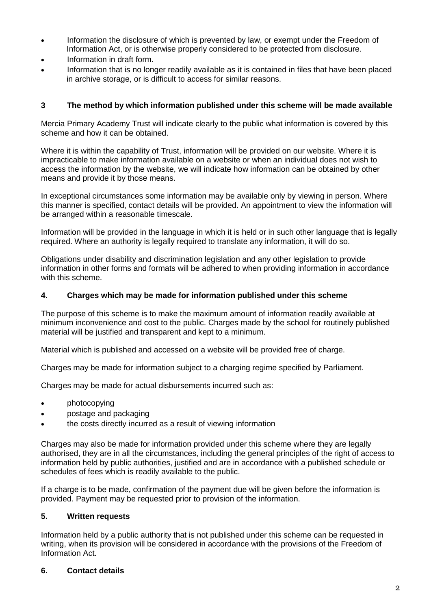- Information the disclosure of which is prevented by law, or exempt under the Freedom of Information Act, or is otherwise properly considered to be protected from disclosure.
- Information in draft form.
- Information that is no longer readily available as it is contained in files that have been placed in archive storage, or is difficult to access for similar reasons.

## **3 The method by which information published under this scheme will be made available**

Mercia Primary Academy Trust will indicate clearly to the public what information is covered by this scheme and how it can be obtained.

Where it is within the capability of Trust, information will be provided on our website. Where it is impracticable to make information available on a website or when an individual does not wish to access the information by the website, we will indicate how information can be obtained by other means and provide it by those means.

In exceptional circumstances some information may be available only by viewing in person. Where this manner is specified, contact details will be provided. An appointment to view the information will be arranged within a reasonable timescale.

Information will be provided in the language in which it is held or in such other language that is legally required. Where an authority is legally required to translate any information, it will do so.

Obligations under disability and discrimination legislation and any other legislation to provide information in other forms and formats will be adhered to when providing information in accordance with this scheme.

#### **4. Charges which may be made for information published under this scheme**

The purpose of this scheme is to make the maximum amount of information readily available at minimum inconvenience and cost to the public. Charges made by the school for routinely published material will be justified and transparent and kept to a minimum.

Material which is published and accessed on a website will be provided free of charge.

Charges may be made for information subject to a charging regime specified by Parliament.

Charges may be made for actual disbursements incurred such as:

- **photocopying**
- postage and packaging
- the costs directly incurred as a result of viewing information

Charges may also be made for information provided under this scheme where they are legally authorised, they are in all the circumstances, including the general principles of the right of access to information held by public authorities, justified and are in accordance with a published schedule or schedules of fees which is readily available to the public.

If a charge is to be made, confirmation of the payment due will be given before the information is provided. Payment may be requested prior to provision of the information.

#### **5. Written requests**

Information held by a public authority that is not published under this scheme can be requested in writing, when its provision will be considered in accordance with the provisions of the Freedom of Information Act.

#### **6. Contact details**